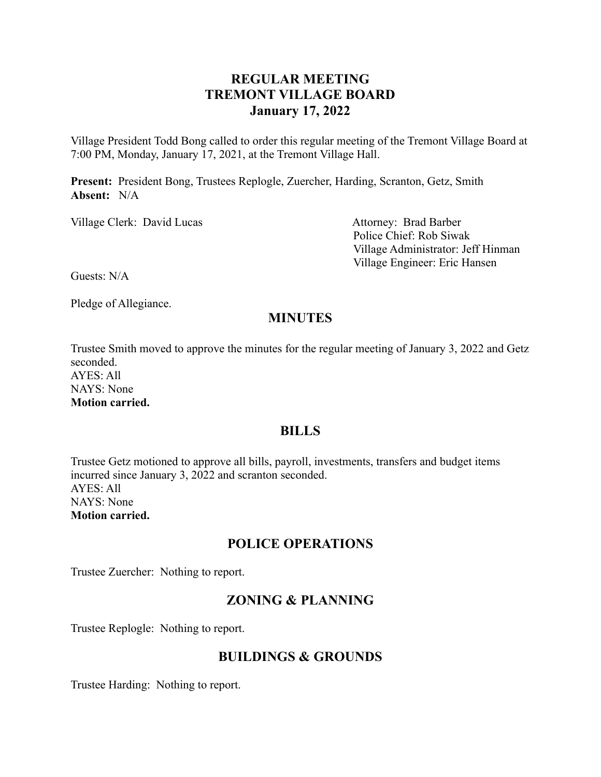## **REGULAR MEETING TREMONT VILLAGE BOARD January 17, 2022**

Village President Todd Bong called to order this regular meeting of the Tremont Village Board at 7:00 PM, Monday, January 17, 2021, at the Tremont Village Hall.

**Present:** President Bong, Trustees Replogle, Zuercher, Harding, Scranton, Getz, Smith **Absent:** N/A

Village Clerk: David Lucas Attorney: Brad Barber

Police Chief: Rob Siwak Village Administrator: Jeff Hinman Village Engineer: Eric Hansen

Guests: N/A

Pledge of Allegiance.

## **MINUTES**

Trustee Smith moved to approve the minutes for the regular meeting of January 3, 2022 and Getz seconded. AYES: All NAYS: None

**Motion carried.**

### **BILLS**

Trustee Getz motioned to approve all bills, payroll, investments, transfers and budget items incurred since January 3, 2022 and scranton seconded. AYES: All NAYS: None **Motion carried.**

### **POLICE OPERATIONS**

Trustee Zuercher: Nothing to report.

## **ZONING & PLANNING**

Trustee Replogle: Nothing to report.

## **BUILDINGS & GROUNDS**

Trustee Harding: Nothing to report.